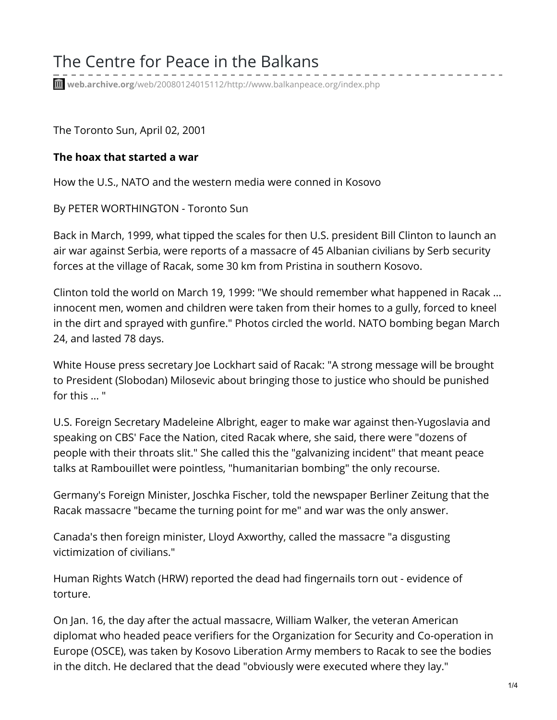# The Centre for Peace in the Balkans

**web.archive.org**[/web/20080124015112/http://www.balkanpeace.org/index.php](https://web.archive.org/web/20080124015112/http://www.balkanpeace.org/index.php?articleid=6989&index=article)

The Toronto Sun, April 02, 2001

## **The hoax that started a war**

How the U.S., NATO and the western media were conned in Kosovo

By PETER WORTHINGTON - Toronto Sun

Back in March, 1999, what tipped the scales for then U.S. president Bill Clinton to launch an air war against Serbia, were reports of a massacre of 45 Albanian civilians by Serb security forces at the village of Racak, some 30 km from Pristina in southern Kosovo.

Clinton told the world on March 19, 1999: "We should remember what happened in Racak ... innocent men, women and children were taken from their homes to a gully, forced to kneel in the dirt and sprayed with gunfire." Photos circled the world. NATO bombing began March 24, and lasted 78 days.

White House press secretary Joe Lockhart said of Racak: "A strong message will be brought to President (Slobodan) Milosevic about bringing those to justice who should be punished for this ... "

U.S. Foreign Secretary Madeleine Albright, eager to make war against then-Yugoslavia and speaking on CBS' Face the Nation, cited Racak where, she said, there were "dozens of people with their throats slit." She called this the "galvanizing incident" that meant peace talks at Rambouillet were pointless, "humanitarian bombing" the only recourse.

Germany's Foreign Minister, Joschka Fischer, told the newspaper Berliner Zeitung that the Racak massacre "became the turning point for me" and war was the only answer.

Canada's then foreign minister, Lloyd Axworthy, called the massacre "a disgusting victimization of civilians."

Human Rights Watch (HRW) reported the dead had fingernails torn out - evidence of torture.

On Jan. 16, the day after the actual massacre, William Walker, the veteran American diplomat who headed peace verifiers for the Organization for Security and Co-operation in Europe (OSCE), was taken by Kosovo Liberation Army members to Racak to see the bodies in the ditch. He declared that the dead "obviously were executed where they lay."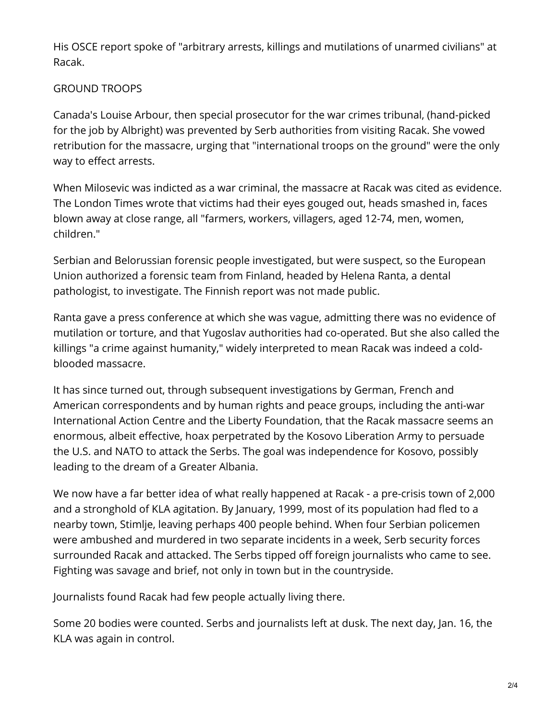His OSCE report spoke of "arbitrary arrests, killings and mutilations of unarmed civilians" at Racak.

## GROUND TROOPS

Canada's Louise Arbour, then special prosecutor for the war crimes tribunal, (hand-picked for the job by Albright) was prevented by Serb authorities from visiting Racak. She vowed retribution for the massacre, urging that "international troops on the ground" were the only way to effect arrests.

When Milosevic was indicted as a war criminal, the massacre at Racak was cited as evidence. The London Times wrote that victims had their eyes gouged out, heads smashed in, faces blown away at close range, all "farmers, workers, villagers, aged 12-74, men, women, children."

Serbian and Belorussian forensic people investigated, but were suspect, so the European Union authorized a forensic team from Finland, headed by Helena Ranta, a dental pathologist, to investigate. The Finnish report was not made public.

Ranta gave a press conference at which she was vague, admitting there was no evidence of mutilation or torture, and that Yugoslav authorities had co-operated. But she also called the killings "a crime against humanity," widely interpreted to mean Racak was indeed a coldblooded massacre.

It has since turned out, through subsequent investigations by German, French and American correspondents and by human rights and peace groups, including the anti-war International Action Centre and the Liberty Foundation, that the Racak massacre seems an enormous, albeit effective, hoax perpetrated by the Kosovo Liberation Army to persuade the U.S. and NATO to attack the Serbs. The goal was independence for Kosovo, possibly leading to the dream of a Greater Albania.

We now have a far better idea of what really happened at Racak - a pre-crisis town of 2,000 and a stronghold of KLA agitation. By January, 1999, most of its population had fled to a nearby town, Stimlje, leaving perhaps 400 people behind. When four Serbian policemen were ambushed and murdered in two separate incidents in a week, Serb security forces surrounded Racak and attacked. The Serbs tipped off foreign journalists who came to see. Fighting was savage and brief, not only in town but in the countryside.

Journalists found Racak had few people actually living there.

Some 20 bodies were counted. Serbs and journalists left at dusk. The next day, Jan. 16, the KLA was again in control.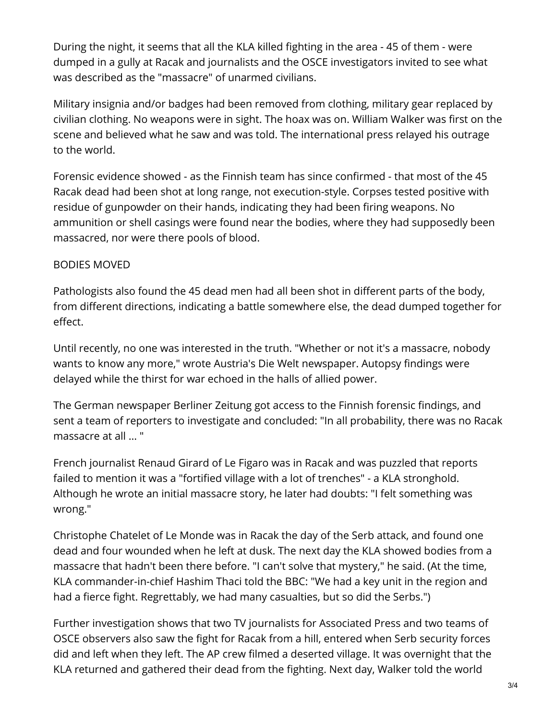During the night, it seems that all the KLA killed fighting in the area - 45 of them - were dumped in a gully at Racak and journalists and the OSCE investigators invited to see what was described as the "massacre" of unarmed civilians.

Military insignia and/or badges had been removed from clothing, military gear replaced by civilian clothing. No weapons were in sight. The hoax was on. William Walker was first on the scene and believed what he saw and was told. The international press relayed his outrage to the world.

Forensic evidence showed - as the Finnish team has since confirmed - that most of the 45 Racak dead had been shot at long range, not execution-style. Corpses tested positive with residue of gunpowder on their hands, indicating they had been firing weapons. No ammunition or shell casings were found near the bodies, where they had supposedly been massacred, nor were there pools of blood.

### BODIES MOVED

Pathologists also found the 45 dead men had all been shot in different parts of the body, from different directions, indicating a battle somewhere else, the dead dumped together for effect.

Until recently, no one was interested in the truth. "Whether or not it's a massacre, nobody wants to know any more," wrote Austria's Die Welt newspaper. Autopsy findings were delayed while the thirst for war echoed in the halls of allied power.

The German newspaper Berliner Zeitung got access to the Finnish forensic findings, and sent a team of reporters to investigate and concluded: "In all probability, there was no Racak massacre at all ... "

French journalist Renaud Girard of Le Figaro was in Racak and was puzzled that reports failed to mention it was a "fortified village with a lot of trenches" - a KLA stronghold. Although he wrote an initial massacre story, he later had doubts: "I felt something was wrong."

Christophe Chatelet of Le Monde was in Racak the day of the Serb attack, and found one dead and four wounded when he left at dusk. The next day the KLA showed bodies from a massacre that hadn't been there before. "I can't solve that mystery," he said. (At the time, KLA commander-in-chief Hashim Thaci told the BBC: "We had a key unit in the region and had a fierce fight. Regrettably, we had many casualties, but so did the Serbs.")

Further investigation shows that two TV journalists for Associated Press and two teams of OSCE observers also saw the fight for Racak from a hill, entered when Serb security forces did and left when they left. The AP crew filmed a deserted village. It was overnight that the KLA returned and gathered their dead from the fighting. Next day, Walker told the world